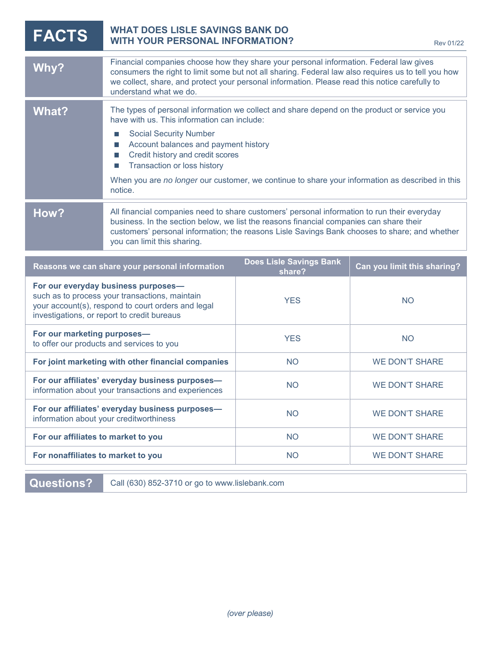| <b>FACTS</b>                                                                                                                                                                               | <b>WHAT DOES LISLE SAVINGS BANK DO</b><br><b>WITH YOUR PERSONAL INFORMATION?</b><br><b>Rev 01/22</b>                                                                                                                                                                                                                      |                                          |                             |
|--------------------------------------------------------------------------------------------------------------------------------------------------------------------------------------------|---------------------------------------------------------------------------------------------------------------------------------------------------------------------------------------------------------------------------------------------------------------------------------------------------------------------------|------------------------------------------|-----------------------------|
| Why?                                                                                                                                                                                       | Financial companies choose how they share your personal information. Federal law gives<br>consumers the right to limit some but not all sharing. Federal law also requires us to tell you how<br>we collect, share, and protect your personal information. Please read this notice carefully to<br>understand what we do. |                                          |                             |
| <b>What?</b>                                                                                                                                                                               | The types of personal information we collect and share depend on the product or service you<br>have with us. This information can include:<br><b>Social Security Number</b><br>I.                                                                                                                                         |                                          |                             |
|                                                                                                                                                                                            | Account balances and payment history<br>Credit history and credit scores<br>Transaction or loss history<br>H                                                                                                                                                                                                              |                                          |                             |
|                                                                                                                                                                                            | When you are no longer our customer, we continue to share your information as described in this<br>notice.                                                                                                                                                                                                                |                                          |                             |
| How?                                                                                                                                                                                       | All financial companies need to share customers' personal information to run their everyday<br>business. In the section below, we list the reasons financial companies can share their<br>customers' personal information; the reasons Lisle Savings Bank chooses to share; and whether<br>you can limit this sharing.    |                                          |                             |
| Reasons we can share your personal information                                                                                                                                             |                                                                                                                                                                                                                                                                                                                           | <b>Does Lisle Savings Bank</b><br>share? | Can you limit this sharing? |
| For our everyday business purposes-<br>such as to process your transactions, maintain<br>your account(s), respond to court orders and legal<br>investigations, or report to credit bureaus |                                                                                                                                                                                                                                                                                                                           | <b>YES</b>                               | <b>NO</b>                   |
| For our marketing purposes-<br>to offer our products and services to you                                                                                                                   |                                                                                                                                                                                                                                                                                                                           | <b>YES</b>                               | <b>NO</b>                   |
| For joint marketing with other financial companies                                                                                                                                         |                                                                                                                                                                                                                                                                                                                           | <b>NO</b>                                | <b>WE DON'T SHARE</b>       |
| For our affiliates' everyday business purposes-<br>information about your transactions and experiences                                                                                     |                                                                                                                                                                                                                                                                                                                           | <b>NO</b>                                | <b>WE DON'T SHARE</b>       |
| For our affiliates' everyday business purposes-<br>information about your creditworthiness                                                                                                 |                                                                                                                                                                                                                                                                                                                           | <b>NO</b>                                | <b>WE DON'T SHARE</b>       |
| For our affiliates to market to you                                                                                                                                                        |                                                                                                                                                                                                                                                                                                                           | <b>NO</b>                                | <b>WE DON'T SHARE</b>       |
| For nonaffiliates to market to you                                                                                                                                                         |                                                                                                                                                                                                                                                                                                                           | <b>NO</b>                                | <b>WE DON'T SHARE</b>       |

**Questions?** Call (630) 852-3710 or go to www.lislebank.com